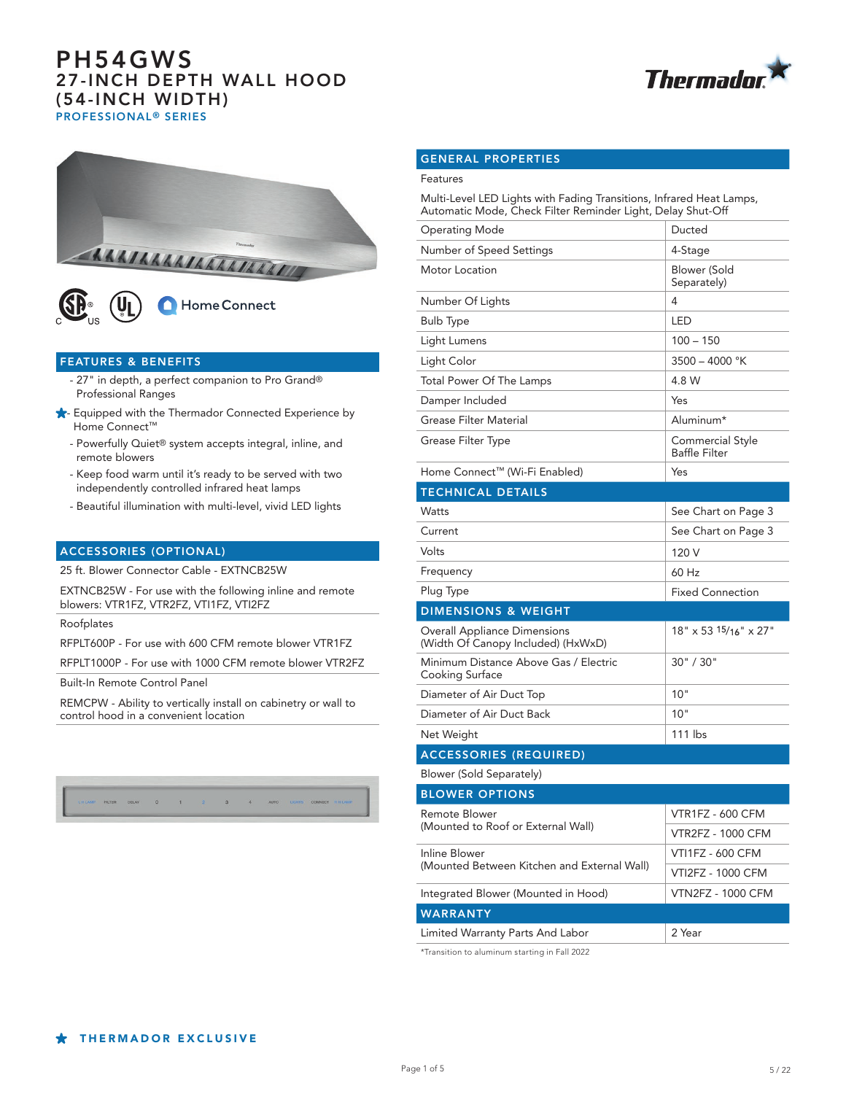





### FEATURES & BENEFITS

- 27" in depth, a perfect companion to Pro Grand® Professional Ranges
- $\bigstar$  Equipped with the Thermador Connected Experience by Home Connect™
	- Powerfully Quiet® system accepts integral, inline, and remote blowers
	- Keep food warm until it's ready to be served with two independently controlled infrared heat lamps
	- Beautiful illumination with multi-level, vivid LED lights

### ACCESSORIES (OPTIONAL)

25 ft. Blower Connector Cable - EXTNCB25W

EXTNCB25W - For use with the following inline and remote blowers: VTR1FZ, VTR2FZ, VTI1FZ, VTI2FZ

### Roofplates

RFPLT600P - For use with 600 CFM remote blower VTR1FZ

RFPLT1000P - For use with 1000 CFM remote blower VTR2FZ

Built-In Remote Control Panel

REMCPW - Ability to vertically install on cabinetry or wall to control hood in a convenient location



## GENERAL PROPERTIES

### Features

Multi-Level LED Lights with Fading Transitions, Infrared Heat Lamps, Automatic Mode, Check Filter Reminder Light, Delay Shut-Off

| <b>Operating Mode</b>                                                     | Ducted                                          |  |  |  |
|---------------------------------------------------------------------------|-------------------------------------------------|--|--|--|
| Number of Speed Settings                                                  | 4-Stage                                         |  |  |  |
| Motor Location                                                            | Blower (Sold<br>Separately)                     |  |  |  |
| Number Of Lights                                                          | 4                                               |  |  |  |
| <b>Bulb Type</b>                                                          | <b>LED</b>                                      |  |  |  |
| Light Lumens                                                              | $100 - 150$                                     |  |  |  |
| Light Color                                                               | 3500 - 4000 °K                                  |  |  |  |
| Total Power Of The Lamps                                                  | 4.8 W                                           |  |  |  |
| Damper Included                                                           | Yes                                             |  |  |  |
| Grease Filter Material                                                    | Aluminum*                                       |  |  |  |
| <b>Grease Filter Type</b>                                                 | <b>Commercial Style</b><br><b>Baffle Filter</b> |  |  |  |
| Home Connect™ (Wi-Fi Enabled)                                             | Yes                                             |  |  |  |
| <b>TECHNICAL DETAILS</b>                                                  |                                                 |  |  |  |
| <b>Watts</b>                                                              | See Chart on Page 3                             |  |  |  |
| Current                                                                   | See Chart on Page 3                             |  |  |  |
| Volts                                                                     | 120 V                                           |  |  |  |
| Frequency                                                                 | 60 Hz                                           |  |  |  |
|                                                                           |                                                 |  |  |  |
| Plug Type                                                                 | <b>Fixed Connection</b>                         |  |  |  |
| <b>DIMENSIONS &amp; WEIGHT</b>                                            |                                                 |  |  |  |
| <b>Overall Appliance Dimensions</b><br>(Width Of Canopy Included) (HxWxD) | $18" \times 53' 15/16" \times 27"$              |  |  |  |
| Minimum Distance Above Gas / Electric<br>Cooking Surface                  | 30" / 30"                                       |  |  |  |
| Diameter of Air Duct Top                                                  | 10"                                             |  |  |  |
| Diameter of Air Duct Back                                                 | 10"                                             |  |  |  |
| Net Weight                                                                | 111 lbs                                         |  |  |  |
| <b>ACCESSORIES (REQUIRED)</b>                                             |                                                 |  |  |  |
| Blower (Sold Separately)                                                  |                                                 |  |  |  |
| <b>BLOWER OPTIONS</b>                                                     |                                                 |  |  |  |
| <b>Remote Blower</b>                                                      | <b>VTR1FZ - 600 CFM</b>                         |  |  |  |
| (Mounted to Roof or External Wall)                                        | <b>VTR2FZ - 1000 CFM</b>                        |  |  |  |
| Inline Blower                                                             | <b>VTI1FZ - 600 CFM</b>                         |  |  |  |
| (Mounted Between Kitchen and External Wall)                               | <b>VTI2FZ - 1000 CFM</b>                        |  |  |  |
| Integrated Blower (Mounted in Hood)                                       | <b>VTN2FZ - 1000 CFM</b>                        |  |  |  |
| <b>WARRANTY</b>                                                           |                                                 |  |  |  |

\*Transition to aluminum starting in Fall 2022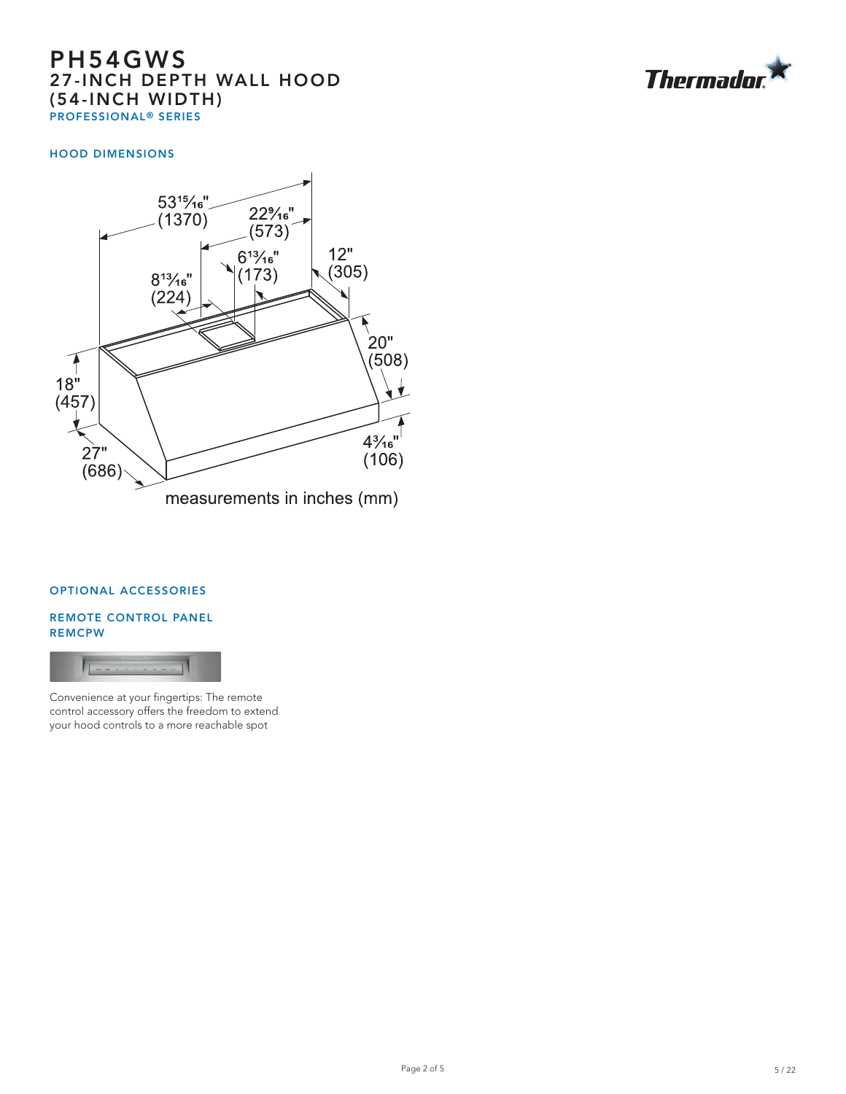

## HOOD DIMENSIONS



### OPTIONAL ACCESSORIES

## REMOTE CONTROL PANEL REMCPW



Convenience at your fingertips: The remote control accessory offers the freedom to extend your hood controls to a more reachable spot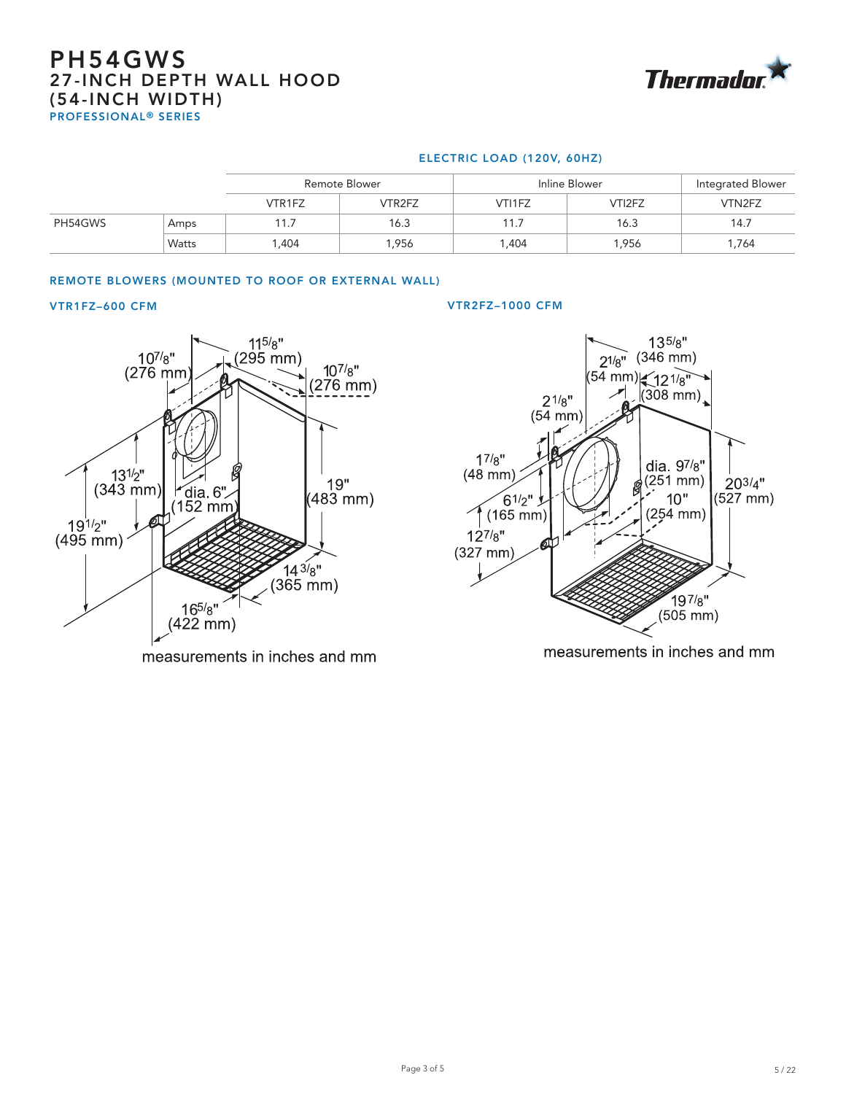

## ELECTRIC LOAD (120V, 60HZ)

|         |       | <b>Remote Blower</b> |        | Inline Blower |        | Integrated Blower |
|---------|-------|----------------------|--------|---------------|--------|-------------------|
|         |       | VTR1FZ               | VTR2FZ | VTI1FZ        | VTI2FZ | VTN2FZ            |
| PH54GWS | Amps  | 11.7                 | 16.3   | 11.7          | 16.3   | 14.7              |
|         | Watts | .404                 | 1,956  | 1,404         | 1,956  | 1,764             |

### REMOTE BLOWERS (MOUNTED TO ROOF OR EXTERNAL WALL)



measurements in inches and mm

### VTR1FZ–600 CFM VTR2FZ–1000 CFM



measurements in inches and mm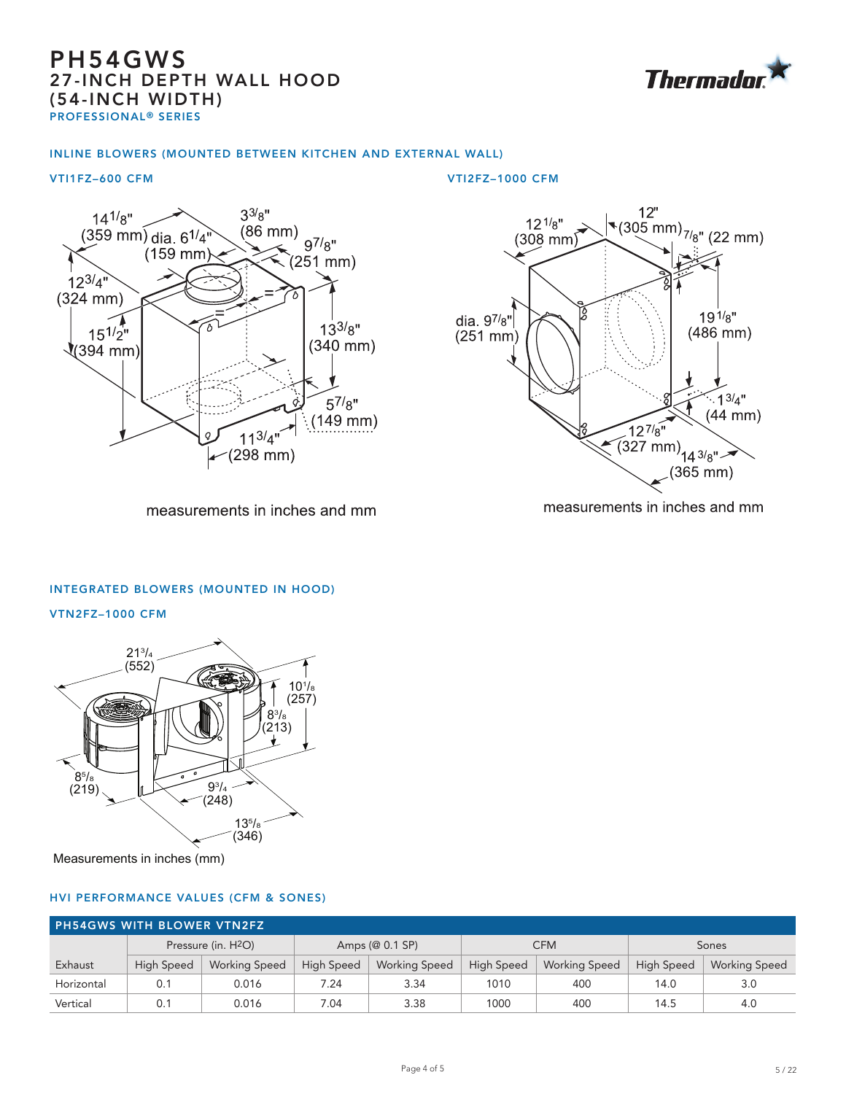

### INLINE BLOWERS (MOUNTED BETWEEN KITCHEN AND EXTERNAL WALL)

### VTI1FZ–600 CFM VTI2FZ–1000 CFM



 $\begin{array}{r} 12^{\circ} \\ (305 \text{ mm})_{7/8}^{\circ} \\ (22 \text{ mm}) \end{array}$  $12^{1/g}$  $(308$  mm) dia  $9^{7/8"$  $19^{1/g''}$  $(486$  mm $)$  $(251$  mm)  $\cdot$  13/4"  $(44$  mm $)$  $\frac{12^{7}}{8^{10}}$  $(327 \text{ mm})$   $14 \frac{3}{8}$  $(365$  mm $)$ 

measurements in inches and mm

measurements in inches and mm

### INTEGRATED BLOWERS (MOUNTED IN HOOD)

VTN2FZ–1000 CFM



Measurements in inches (mm)

## HVI PERFORMANCE VALUES (CFM & SONES)

| <b>PH54GWS WITH BLOWER VTN2FZ</b> |                                 |                      |                   |                      |                   |                      |                   |                      |  |  |
|-----------------------------------|---------------------------------|----------------------|-------------------|----------------------|-------------------|----------------------|-------------------|----------------------|--|--|
|                                   | Pressure (in. H <sub>2O</sub> ) |                      | Amps (@ 0.1 SP)   |                      | <b>CFM</b>        |                      | Sones             |                      |  |  |
| Exhaust                           | <b>High Speed</b>               | <b>Working Speed</b> | <b>High Speed</b> | <b>Working Speed</b> | <b>High Speed</b> | <b>Working Speed</b> | <b>High Speed</b> | <b>Working Speed</b> |  |  |
| Horizontal                        | 0.1                             | 0.016                | 7.24              | 3.34                 | 1010              | 400                  | 14.0              | 3.0                  |  |  |
| Vertical                          | 0.1                             | 0.016                | 7.04              | 3.38                 | 1000              | 400                  | 14.5              | 4.0                  |  |  |